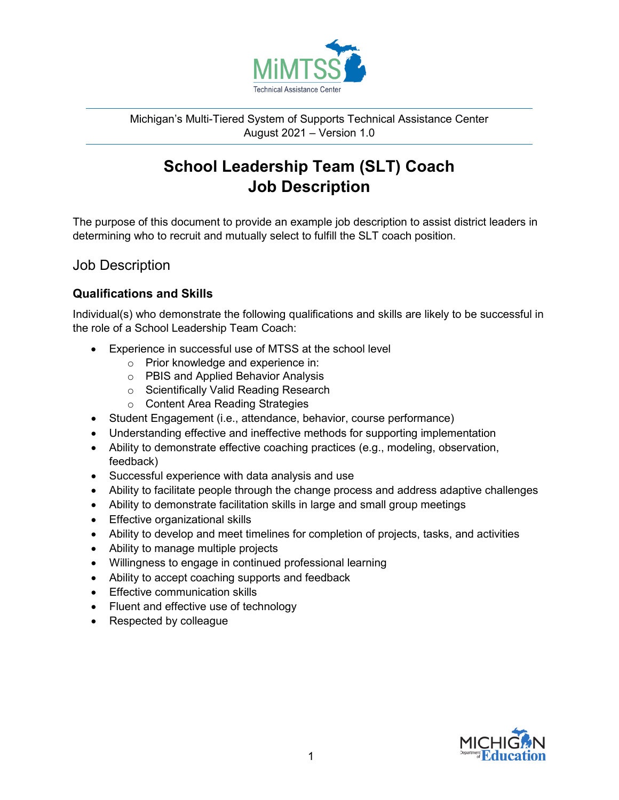

Michigan's Multi-Tiered System of Supports Technical Assistance Center August 2021 – Version 1.0

# **School Leadership Team (SLT) Coach Job Description**

The purpose of this document to provide an example job description to assist district leaders in determining who to recruit and mutually select to fulfill the SLT coach position.

## Job Description

## **Qualifications and Skills**

Individual(s) who demonstrate the following qualifications and skills are likely to be successful in the role of a School Leadership Team Coach:

- Experience in successful use of MTSS at the school level
	- o Prior knowledge and experience in:
	- o PBIS and Applied Behavior Analysis
	- o Scientifically Valid Reading Research
	- o Content Area Reading Strategies
- Student Engagement (i.e., attendance, behavior, course performance)
- Understanding effective and ineffective methods for supporting implementation
- Ability to demonstrate effective coaching practices (e.g., modeling, observation, feedback)
- Successful experience with data analysis and use
- Ability to facilitate people through the change process and address adaptive challenges
- Ability to demonstrate facilitation skills in large and small group meetings
- Effective organizational skills
- Ability to develop and meet timelines for completion of projects, tasks, and activities
- Ability to manage multiple projects
- Willingness to engage in continued professional learning
- Ability to accept coaching supports and feedback
- Effective communication skills
- Fluent and effective use of technology
- Respected by colleague